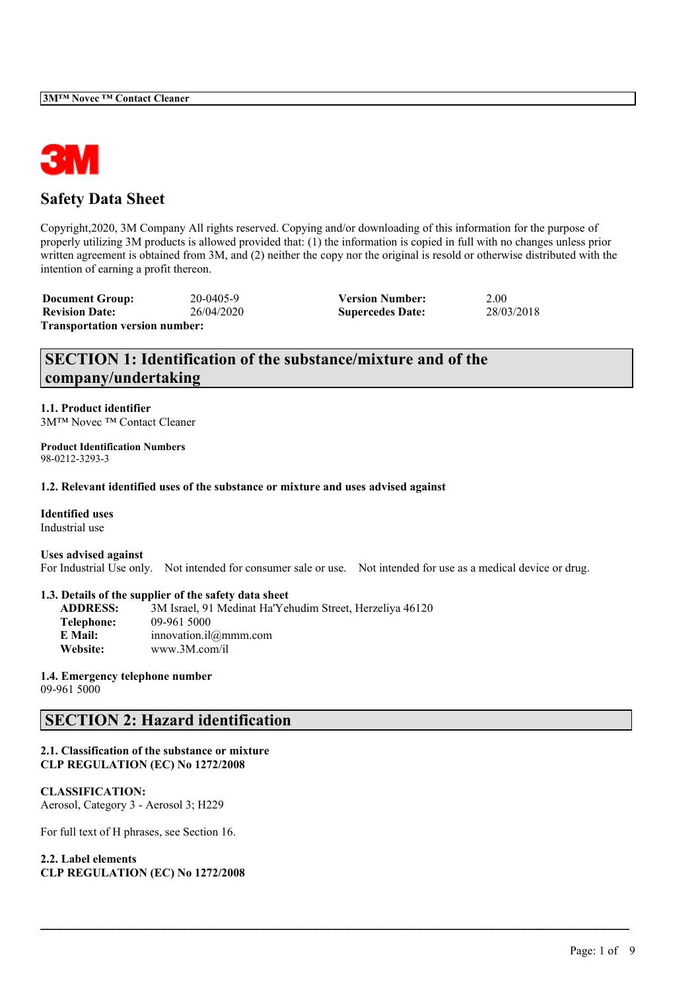

# **Safety Data Sheet**

Copyright,2020, 3M Company All rights reserved. Copying and/or downloading of this information for the purpose of properly utilizing 3M products is allowed provided that: (1) the information is copied in full with no changes unless prior written agreement is obtained from 3M, and (2) neither the copy nor the original is resold or otherwise distributed with the intention of earning a profit thereon.

**Document Group:** 20-0405-9 **Version Number:** 2.00 **Revision Date:** 26/04/2020 **Supercedes Date:** 28/03/2018 **Transportation version number:**

# **SECTION 1: Identification of the substance/mixture and of the company/undertaking**

**1.1. Product identifier** 3M™ Novec ™ Contact Cleaner

**Product Identification Numbers** 98-0212-3293-3

**1.2. Relevant identified uses of the substance or mixture and uses advised against**

**Identified uses** Industrial use

**Uses advised against** For Industrial Use only. Not intended for consumer sale or use. Not intended for use as a medical device or drug.

 $\mathcal{L}_\mathcal{L} = \mathcal{L}_\mathcal{L} = \mathcal{L}_\mathcal{L} = \mathcal{L}_\mathcal{L} = \mathcal{L}_\mathcal{L} = \mathcal{L}_\mathcal{L} = \mathcal{L}_\mathcal{L} = \mathcal{L}_\mathcal{L} = \mathcal{L}_\mathcal{L} = \mathcal{L}_\mathcal{L} = \mathcal{L}_\mathcal{L} = \mathcal{L}_\mathcal{L} = \mathcal{L}_\mathcal{L} = \mathcal{L}_\mathcal{L} = \mathcal{L}_\mathcal{L} = \mathcal{L}_\mathcal{L} = \mathcal{L}_\mathcal{L}$ 

### **1.3. Details of the supplier of the safety data sheet**

| <b>ADDRESS:</b> | 3M Israel, 91 Medinat Ha'Yehudim Street, Herzeliya 46120 |
|-----------------|----------------------------------------------------------|
| Telephone:      | 09-961 5000                                              |
| E Mail:         | innovation.il $@mmm.com$                                 |
| Website:        | www.3M.com/il                                            |

**1.4. Emergency telephone number**

09-961 5000

# **SECTION 2: Hazard identification**

## **2.1. Classification of the substance or mixture CLP REGULATION (EC) No 1272/2008**

### **CLASSIFICATION:**

Aerosol, Category 3 - Aerosol 3; H229

For full text of H phrases, see Section 16.

# **2.2. Label elements**

**CLP REGULATION (EC) No 1272/2008**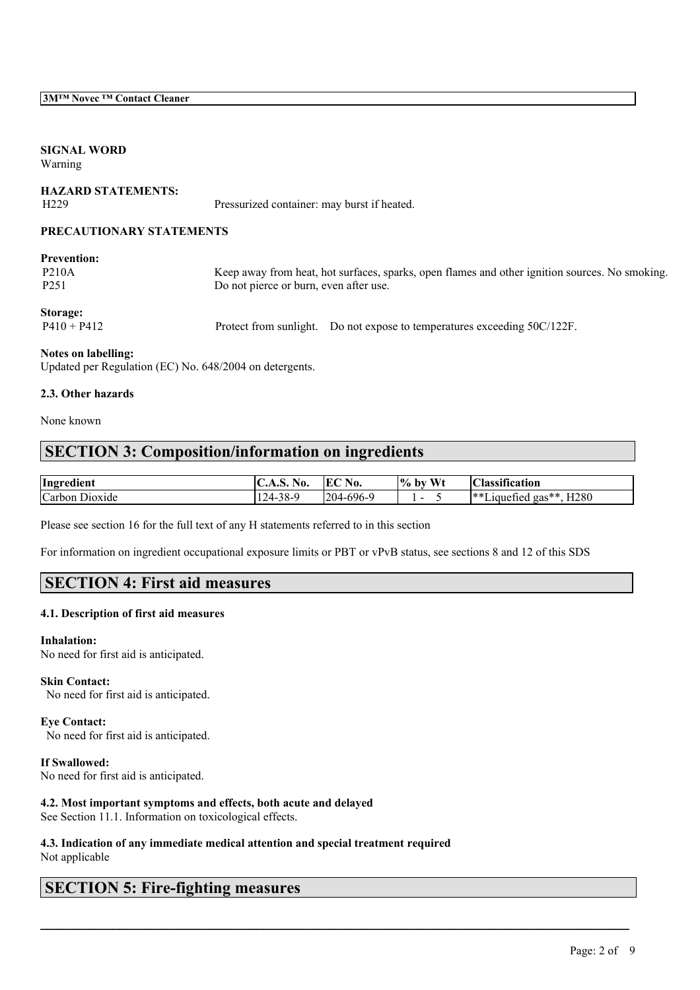# **SIGNAL WORD**

Warning

# **HAZARD STATEMENTS:** H229 Pressurized container: may burst if heated.

## **PRECAUTIONARY STATEMENTS**

| <b>Prevention:</b><br><b>P210A</b><br>P <sub>251</sub> | Keep away from heat, hot surfaces, sparks, open flames and other ignition sources. No smoking.<br>Do not pierce or burn, even after use. |
|--------------------------------------------------------|------------------------------------------------------------------------------------------------------------------------------------------|
| Storage:<br>$P410 + P412$                              | Protect from sunlight. Do not expose to temperatures exceeding 50C/122F.                                                                 |

**Notes on labelling:**

Updated per Regulation (EC) No. 648/2004 on detergents.

# **2.3. Other hazards**

None known

# **SECTION 3: Composition/information on ingredients**

| $ -$<br>. .<br>Hngredient                             | T<br>VV.<br>◡…                       | No.<br>í ŀ<br>ப | $T$ $T$ $T$<br>$\frac{10}{6}$<br>nv | $\cdot$<br>$\sim$<br>ıcatıon<br>Classif                          |
|-------------------------------------------------------|--------------------------------------|-----------------|-------------------------------------|------------------------------------------------------------------|
| $\sim$<br>Carbon<br>D <sub>10</sub> x <sub>1</sub> de | $\sim$ $\sim$<br>$124 -$<br>$20 - 9$ | $204-696$<br>້  | -                                   | ** -<br>H <sub>280</sub><br>and all<br>ាបារស<br>$gas^*$<br>ueneg |

 $\mathcal{L}_\mathcal{L} = \mathcal{L}_\mathcal{L} = \mathcal{L}_\mathcal{L} = \mathcal{L}_\mathcal{L} = \mathcal{L}_\mathcal{L} = \mathcal{L}_\mathcal{L} = \mathcal{L}_\mathcal{L} = \mathcal{L}_\mathcal{L} = \mathcal{L}_\mathcal{L} = \mathcal{L}_\mathcal{L} = \mathcal{L}_\mathcal{L} = \mathcal{L}_\mathcal{L} = \mathcal{L}_\mathcal{L} = \mathcal{L}_\mathcal{L} = \mathcal{L}_\mathcal{L} = \mathcal{L}_\mathcal{L} = \mathcal{L}_\mathcal{L}$ 

Please see section 16 for the full text of any H statements referred to in this section

For information on ingredient occupational exposure limits or PBT or vPvB status, see sections 8 and 12 of this SDS

# **SECTION 4: First aid measures**

# **4.1. Description of first aid measures**

# **Inhalation:**

No need for first aid is anticipated.

**Skin Contact:** No need for first aid is anticipated.

**Eye Contact:** No need for first aid is anticipated.

**If Swallowed:** No need for first aid is anticipated.

**4.2. Most important symptoms and effects, both acute and delayed**

See Section 11.1. Information on toxicological effects.

### **4.3. Indication of any immediate medical attention and special treatment required** Not applicable

# **SECTION 5: Fire-fighting measures**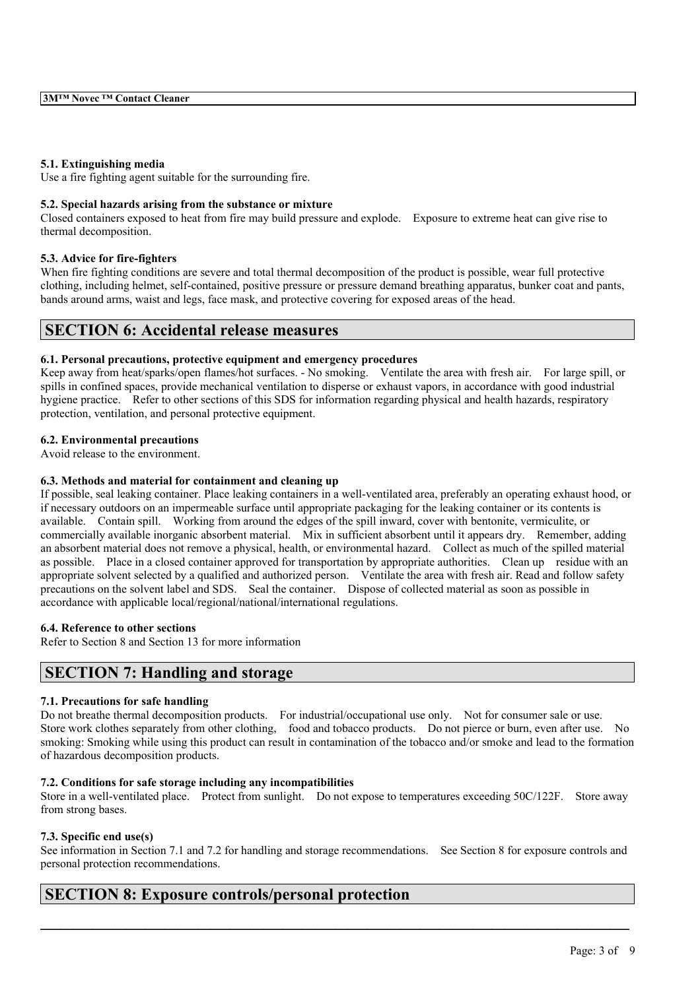#### **5.1. Extinguishing media**

Use a fire fighting agent suitable for the surrounding fire.

#### **5.2. Special hazards arising from the substance or mixture**

Closed containers exposed to heat from fire may build pressure and explode. Exposure to extreme heat can give rise to thermal decomposition.

#### **5.3. Advice for fire-fighters**

When fire fighting conditions are severe and total thermal decomposition of the product is possible, wear full protective clothing, including helmet, self-contained, positive pressure or pressure demand breathing apparatus, bunker coat and pants, bands around arms, waist and legs, face mask, and protective covering for exposed areas of the head.

# **SECTION 6: Accidental release measures**

#### **6.1. Personal precautions, protective equipment and emergency procedures**

Keep away from heat/sparks/open flames/hot surfaces. - No smoking. Ventilate the area with fresh air. For large spill, or spills in confined spaces, provide mechanical ventilation to disperse or exhaust vapors, in accordance with good industrial hygiene practice. Refer to other sections of this SDS for information regarding physical and health hazards, respiratory protection, ventilation, and personal protective equipment.

#### **6.2. Environmental precautions**

Avoid release to the environment.

### **6.3. Methods and material for containment and cleaning up**

If possible, seal leaking container. Place leaking containers in a well-ventilated area, preferably an operating exhaust hood, or if necessary outdoors on an impermeable surface until appropriate packaging for the leaking container or its contents is available. Contain spill. Working from around the edges of the spill inward, cover with bentonite, vermiculite, or commercially available inorganic absorbent material. Mix in sufficient absorbent until it appears dry. Remember, adding an absorbent material does not remove a physical, health, or environmental hazard. Collect as much of the spilled material as possible. Place in a closed container approved for transportation by appropriate authorities. Clean up residue with an appropriate solvent selected by a qualified and authorized person. Ventilate the area with fresh air. Read and follow safety precautions on the solvent label and SDS. Seal the container. Dispose of collected material as soon as possible in accordance with applicable local/regional/national/international regulations.

## **6.4. Reference to other sections**

Refer to Section 8 and Section 13 for more information

# **SECTION 7: Handling and storage**

### **7.1. Precautions for safe handling**

Do not breathe thermal decomposition products. For industrial/occupational use only. Not for consumer sale or use. Store work clothes separately from other clothing, food and tobacco products. Do not pierce or burn, even after use. No smoking: Smoking while using this product can result in contamination of the tobacco and/or smoke and lead to the formation of hazardous decomposition products.

### **7.2. Conditions for safe storage including any incompatibilities**

Store in a well-ventilated place. Protect from sunlight. Do not expose to temperatures exceeding 50C/122F. Store away from strong bases.

### **7.3. Specific end use(s)**

See information in Section 7.1 and 7.2 for handling and storage recommendations. See Section 8 for exposure controls and personal protection recommendations.

 $\mathcal{L}_\mathcal{L} = \mathcal{L}_\mathcal{L} = \mathcal{L}_\mathcal{L} = \mathcal{L}_\mathcal{L} = \mathcal{L}_\mathcal{L} = \mathcal{L}_\mathcal{L} = \mathcal{L}_\mathcal{L} = \mathcal{L}_\mathcal{L} = \mathcal{L}_\mathcal{L} = \mathcal{L}_\mathcal{L} = \mathcal{L}_\mathcal{L} = \mathcal{L}_\mathcal{L} = \mathcal{L}_\mathcal{L} = \mathcal{L}_\mathcal{L} = \mathcal{L}_\mathcal{L} = \mathcal{L}_\mathcal{L} = \mathcal{L}_\mathcal{L}$ 

# **SECTION 8: Exposure controls/personal protection**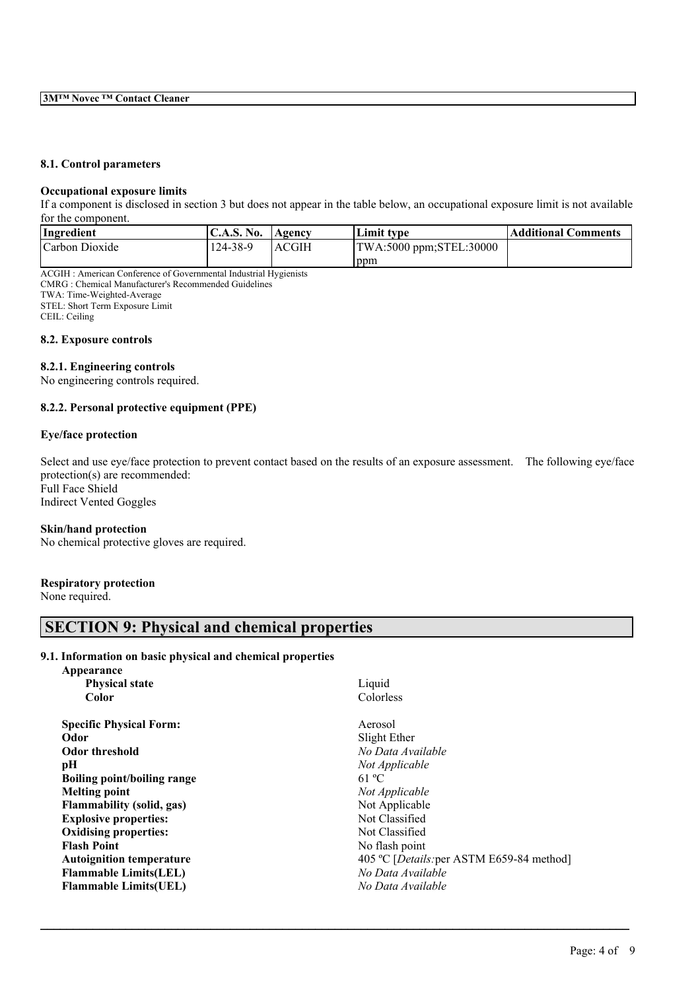### **8.1. Control parameters**

#### **Occupational exposure limits**

If a component is disclosed in section 3 but does not appear in the table below, an occupational exposure limit is not available for the component.

| Ingredient     | <b>C.A.S. No.</b> | Agency | <b>Limit type</b>       | <b>Additional Comments</b> |
|----------------|-------------------|--------|-------------------------|----------------------------|
| Carbon Dioxide | 124-38-9          | ACGIH  | TWA:5000 ppm;STEL:30000 |                            |
|                |                   |        | ppm                     |                            |

ACGIH : American Conference of Governmental Industrial Hygienists CMRG : Chemical Manufacturer's Recommended Guidelines TWA: Time-Weighted-Average STEL: Short Term Exposure Limit

CEIL: Ceiling

**8.2. Exposure controls**

#### **8.2.1. Engineering controls**

No engineering controls required.

### **8.2.2. Personal protective equipment (PPE)**

### **Eye/face protection**

Select and use eye/face protection to prevent contact based on the results of an exposure assessment. The following eye/face protection(s) are recommended: Full Face Shield

Indirect Vented Goggles

#### **Skin/hand protection**

No chemical protective gloves are required.

#### **Respiratory protection**

None required.

# **SECTION 9: Physical and chemical properties**

#### **9.1. Information on basic physical and chemical properties**

| Appearance                         |                                           |
|------------------------------------|-------------------------------------------|
| <b>Physical state</b>              | Liquid                                    |
| Color                              | Colorless                                 |
| <b>Specific Physical Form:</b>     | Aerosol                                   |
| Odor                               | Slight Ether                              |
| <b>Odor threshold</b>              | No Data Available                         |
| pН                                 | Not Applicable                            |
| <b>Boiling point/boiling range</b> | 61 °C                                     |
| <b>Melting point</b>               | Not Applicable                            |
| Flammability (solid, gas)          | Not Applicable                            |
| <b>Explosive properties:</b>       | Not Classified                            |
| <b>Oxidising properties:</b>       | Not Classified                            |
| <b>Flash Point</b>                 | No flash point                            |
| <b>Autoignition temperature</b>    | 405 °C [Details: per ASTM E659-84 method] |
| <b>Flammable Limits(LEL)</b>       | No Data Available                         |
| <b>Flammable Limits(UEL)</b>       | No Data Available                         |
|                                    |                                           |

 $\mathcal{L}_\mathcal{L} = \mathcal{L}_\mathcal{L} = \mathcal{L}_\mathcal{L} = \mathcal{L}_\mathcal{L} = \mathcal{L}_\mathcal{L} = \mathcal{L}_\mathcal{L} = \mathcal{L}_\mathcal{L} = \mathcal{L}_\mathcal{L} = \mathcal{L}_\mathcal{L} = \mathcal{L}_\mathcal{L} = \mathcal{L}_\mathcal{L} = \mathcal{L}_\mathcal{L} = \mathcal{L}_\mathcal{L} = \mathcal{L}_\mathcal{L} = \mathcal{L}_\mathcal{L} = \mathcal{L}_\mathcal{L} = \mathcal{L}_\mathcal{L}$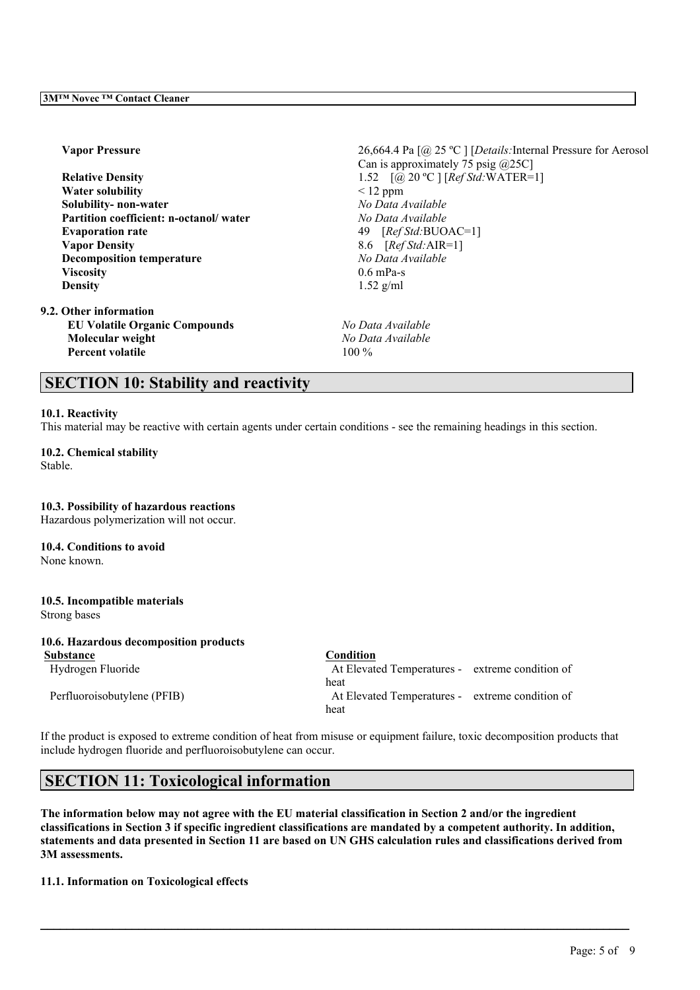**Water solubility** < 12 ppm **Solubility- non-water** *No Data Available* **Partition coefficient: n-octanol/ water** *No Data Available* **Evaporation rate** 49 [*Ref Std:*BUOAC=1] **Vapor Density** 8.6 [*Ref Std:*AIR=1] **Decomposition temperature** *No Data Available* **Viscosity** 0.6 mPa-s **Density** 1.52 g/ml

**9.2. Other information EU Volatile Organic Compounds** *No Data Available* **Molecular weight** *No Data Available* **Percent volatile** 100 %

**Vapor Pressure** 26,664.4 Pa [@ 25 ºC ] [*Details:*Internal Pressure for Aerosol Can is approximately 75 psig  $(225C)$ **Relative Density** 1.52 [@ 20 ºC ] [*Ref Std:*WATER=1]

# **SECTION 10: Stability and reactivity**

#### **10.1. Reactivity**

This material may be reactive with certain agents under certain conditions - see the remaining headings in this section.

**10.2. Chemical stability** Stable.

**10.3. Possibility of hazardous reactions** Hazardous polymerization will not occur. **10.4. Conditions to avoid** None known. **10.5. Incompatible materials** Strong bases

**10.6. Hazardous decomposition products Substance Condition**

Hydrogen Fluoride At Elevated Temperatures - extreme condition of heat Perfluoroisobutylene (PFIB) At Elevated Temperatures - extreme condition of heat

If the product is exposed to extreme condition of heat from misuse or equipment failure, toxic decomposition products that include hydrogen fluoride and perfluoroisobutylene can occur.

# **SECTION 11: Toxicological information**

The information below may not agree with the EU material classification in Section 2 and/or the ingredient classifications in Section 3 if specific ingredient classifications are mandated by a competent authority. In addition, statements and data presented in Section 11 are based on UN GHS calculation rules and classifications derived from **3M assessments.**

 $\mathcal{L}_\mathcal{L} = \mathcal{L}_\mathcal{L} = \mathcal{L}_\mathcal{L} = \mathcal{L}_\mathcal{L} = \mathcal{L}_\mathcal{L} = \mathcal{L}_\mathcal{L} = \mathcal{L}_\mathcal{L} = \mathcal{L}_\mathcal{L} = \mathcal{L}_\mathcal{L} = \mathcal{L}_\mathcal{L} = \mathcal{L}_\mathcal{L} = \mathcal{L}_\mathcal{L} = \mathcal{L}_\mathcal{L} = \mathcal{L}_\mathcal{L} = \mathcal{L}_\mathcal{L} = \mathcal{L}_\mathcal{L} = \mathcal{L}_\mathcal{L}$ 

**11.1. Information on Toxicological effects**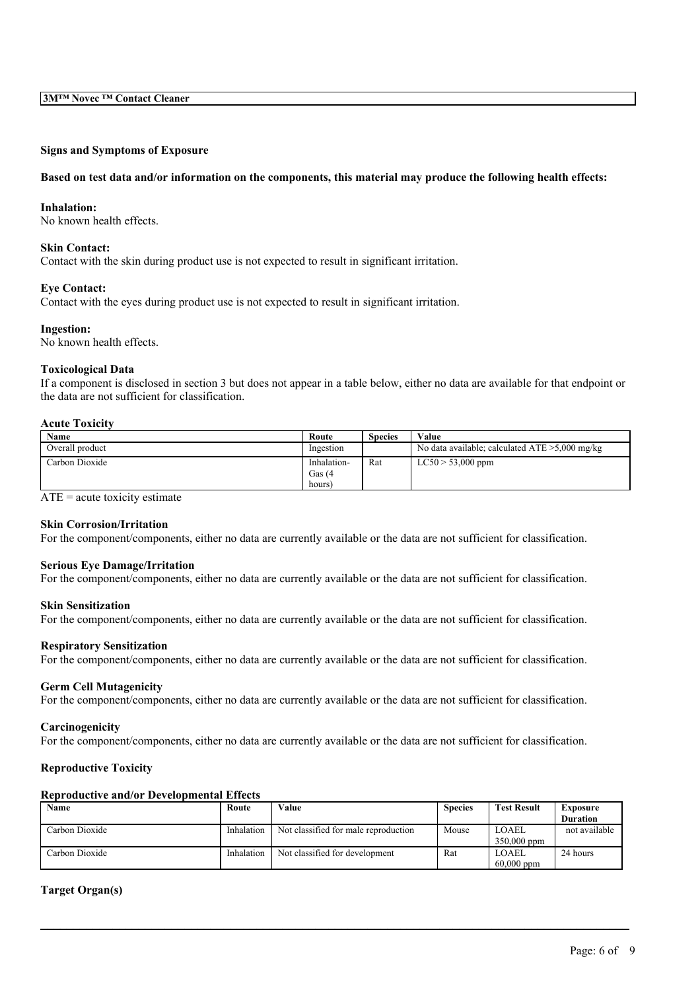# **Signs and Symptoms of Exposure**

#### Based on test data and/or information on the components, this material may produce the following health effects:

#### **Inhalation:**

No known health effects.

#### **Skin Contact:**

Contact with the skin during product use is not expected to result in significant irritation.

#### **Eye Contact:**

Contact with the eyes during product use is not expected to result in significant irritation.

#### **Ingestion:**

No known health effects.

#### **Toxicological Data**

If a component is disclosed in section 3 but does not appear in a table below, either no data are available for that endpoint or the data are not sufficient for classification.

### **Acute Toxicity**

| Name            | Route                 | <b>Species</b> | Value                                             |
|-----------------|-----------------------|----------------|---------------------------------------------------|
| Overall product | Ingestion             |                | No data available; calculated $ATE > 5,000$ mg/kg |
| Carbon Dioxide  | Inhalation-<br>Gas(4) | Rat            | $LC50 > 53,000$ ppm                               |
|                 | hours)                |                |                                                   |

 $ATE = acute$  toxicity estimate

#### **Skin Corrosion/Irritation**

For the component/components, either no data are currently available or the data are not sufficient for classification.

#### **Serious Eye Damage/Irritation**

For the component/components, either no data are currently available or the data are not sufficient for classification.

#### **Skin Sensitization**

For the component/components, either no data are currently available or the data are not sufficient for classification.

#### **Respiratory Sensitization**

For the component/components, either no data are currently available or the data are not sufficient for classification.

#### **Germ Cell Mutagenicity**

For the component/components, either no data are currently available or the data are not sufficient for classification.

#### **Carcinogenicity**

For the component/components, either no data are currently available or the data are not sufficient for classification.

#### **Reproductive Toxicity**

#### **Reproductive and/or Developmental Effects**

| Name           | Route      | Value                                | <b>Species</b> | <b>Test Result</b> | Exposure        |
|----------------|------------|--------------------------------------|----------------|--------------------|-----------------|
|                |            |                                      |                |                    | <b>Duration</b> |
| Carbon Dioxide | Inhalation | Not classified for male reproduction | Mouse          | LOAEL              | not available   |
|                |            |                                      |                | $350,000$ ppm      |                 |
| Carbon Dioxide | Inhalation | Not classified for development       | Rat            | LOAEL              | 24 hours        |
|                |            |                                      |                | $60,000$ ppm       |                 |

 $\mathcal{L}_\mathcal{L} = \mathcal{L}_\mathcal{L} = \mathcal{L}_\mathcal{L} = \mathcal{L}_\mathcal{L} = \mathcal{L}_\mathcal{L} = \mathcal{L}_\mathcal{L} = \mathcal{L}_\mathcal{L} = \mathcal{L}_\mathcal{L} = \mathcal{L}_\mathcal{L} = \mathcal{L}_\mathcal{L} = \mathcal{L}_\mathcal{L} = \mathcal{L}_\mathcal{L} = \mathcal{L}_\mathcal{L} = \mathcal{L}_\mathcal{L} = \mathcal{L}_\mathcal{L} = \mathcal{L}_\mathcal{L} = \mathcal{L}_\mathcal{L}$ 

#### **Target Organ(s)**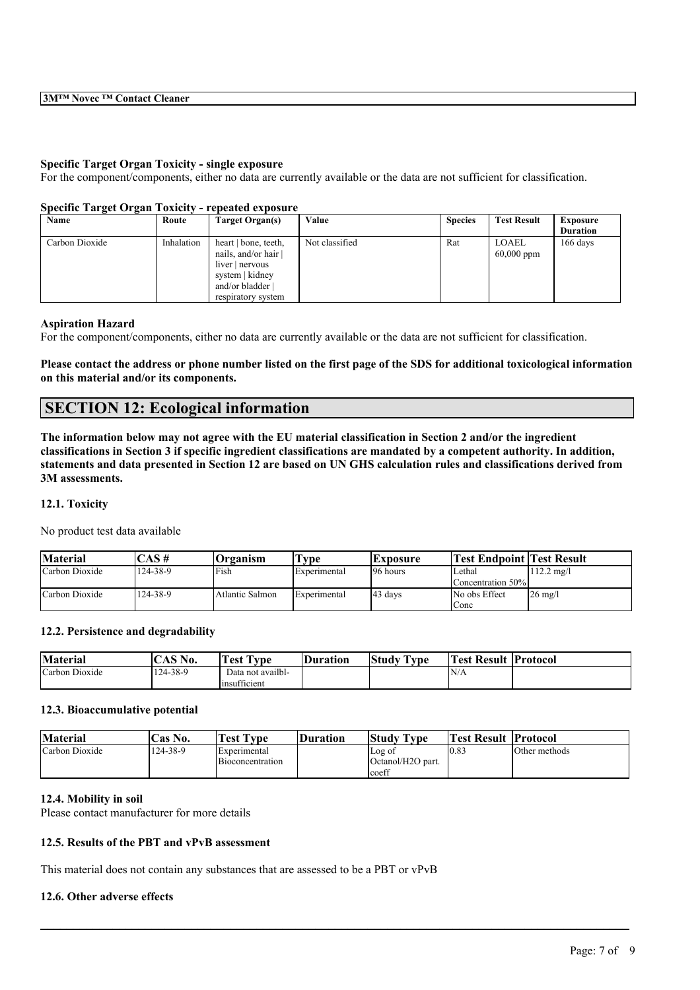#### **Specific Target Organ Toxicity - single exposure**

For the component/components, either no data are currently available or the data are not sufficient for classification.

| Specific Target Organ Toxicity - repeated exposure |            |                                                                                                    |                |                |                              |                                    |  |  |  |
|----------------------------------------------------|------------|----------------------------------------------------------------------------------------------------|----------------|----------------|------------------------------|------------------------------------|--|--|--|
| Name                                               | Route      | Target Organ(s)                                                                                    | Value          | <b>Species</b> | <b>Test Result</b>           | <b>Exposure</b><br><b>Duration</b> |  |  |  |
| Carbon Dioxide                                     | Inhalation | heart   bone, teeth,<br>nails, and/or hair<br>liver   nervous<br>system   kidney<br>and/or bladder | Not classified | Rat            | <b>LOAEL</b><br>$60,000$ ppm | $166$ days                         |  |  |  |

respiratory system

### **Specific Target Organ Toxicity - repeated exposure**

#### **Aspiration Hazard**

For the component/components, either no data are currently available or the data are not sufficient for classification.

### Please contact the address or phone number listed on the first page of the SDS for additional toxicological information **on this material and/or its components.**

# **SECTION 12: Ecological information**

The information below may not agree with the EU material classification in Section 2 and/or the ingredient classifications in Section 3 if specific ingredient classifications are mandated by a competent authority. In addition, statements and data presented in Section 12 are based on UN GHS calculation rules and classifications derived from **3M assessments.**

#### **12.1. Toxicity**

No product test data available

| <b>Material</b> | 'AS #    | <b>Organism</b> | vpe          | <b>Exposure</b>     | <b>Test Endpoint Test Result</b> |                      |
|-----------------|----------|-----------------|--------------|---------------------|----------------------------------|----------------------|
| Carbon Dioxide  | 124-38-9 | Fish            | Experimental | 196 hours           | Lethal                           | $112.2 \text{ mg}/1$ |
|                 |          |                 |              |                     | Concentration 50%                |                      |
| Carbon Dioxide  | 124-38-9 | Atlantic Salmon | Experimental | $ 43 \text{ days} $ | No obs Effect                    | $26 \text{ mg/l}$    |
|                 |          |                 |              |                     | Conc                             |                      |

#### **12.2. Persistence and degradability**

| <b>Material</b> | $\triangle$ $C \triangle T$<br>NO. | $\sqrt{2}$<br>$\overline{\phantom{a}}$<br>rest i<br>vpe) | Duration | <b>CONTRACTOR</b><br>Study<br>I ype | lm<br>⊥`es± | Result  Protocol |
|-----------------|------------------------------------|----------------------------------------------------------|----------|-------------------------------------|-------------|------------------|
| Carbon Dioxide  | 124-38-9                           | Data not availbl-<br>$\sim$<br>Imsufficient              |          |                                     | N/A         |                  |

#### **12.3. Bioaccumulative potential**

| <b>Material</b> | Cas No.  | <b>Test Type</b>                        | Duration | Study Type                                         | Test Result  Protocol |               |
|-----------------|----------|-----------------------------------------|----------|----------------------------------------------------|-----------------------|---------------|
| Carbon Dioxide  | 124-38-9 | <i>Experimental</i><br>Bioconcentration |          | Log of<br>Octanol/H <sub>2</sub> O part.<br>lcoeff | 10.83                 | Other methods |

 $\mathcal{L}_\mathcal{L} = \mathcal{L}_\mathcal{L} = \mathcal{L}_\mathcal{L} = \mathcal{L}_\mathcal{L} = \mathcal{L}_\mathcal{L} = \mathcal{L}_\mathcal{L} = \mathcal{L}_\mathcal{L} = \mathcal{L}_\mathcal{L} = \mathcal{L}_\mathcal{L} = \mathcal{L}_\mathcal{L} = \mathcal{L}_\mathcal{L} = \mathcal{L}_\mathcal{L} = \mathcal{L}_\mathcal{L} = \mathcal{L}_\mathcal{L} = \mathcal{L}_\mathcal{L} = \mathcal{L}_\mathcal{L} = \mathcal{L}_\mathcal{L}$ 

#### **12.4. Mobility in soil**

Please contact manufacturer for more details

# **12.5. Results of the PBT and vPvB assessment**

This material does not contain any substances that are assessed to be a PBT or vPvB

#### **12.6. Other adverse effects**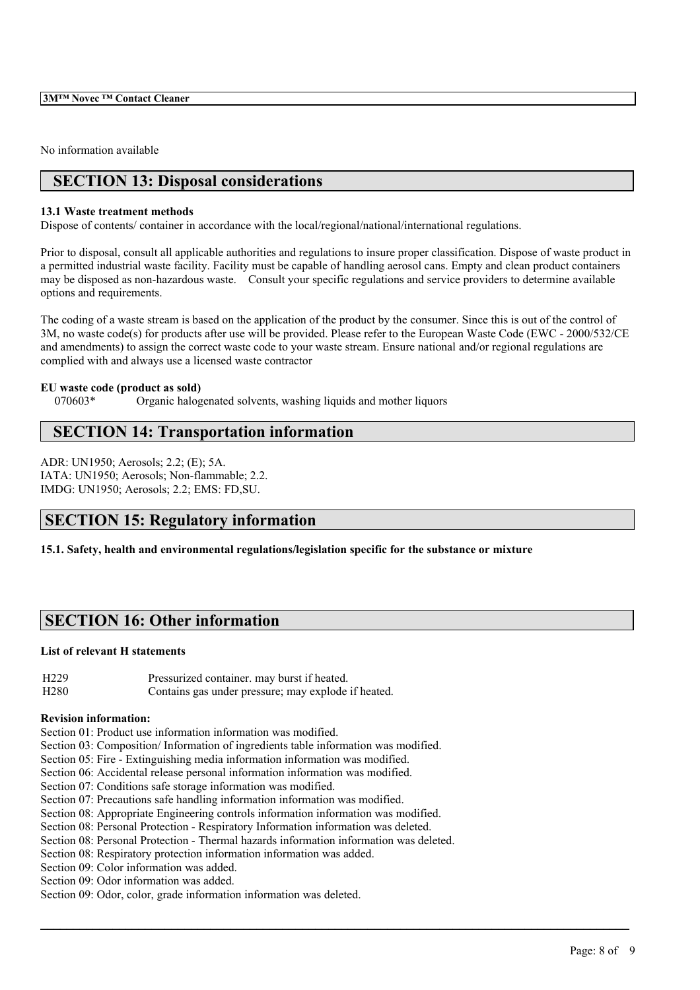**3M™ Novec ™ Contact Cleaner**

No information available

# **SECTION 13: Disposal considerations**

### **13.1 Waste treatment methods**

Dispose of contents/ container in accordance with the local/regional/national/international regulations.

Prior to disposal, consult all applicable authorities and regulations to insure proper classification. Dispose of waste product in a permitted industrial waste facility. Facility must be capable of handling aerosol cans. Empty and clean product containers may be disposed as non-hazardous waste. Consult your specific regulations and service providers to determine available options and requirements.

The coding of a waste stream is based on the application of the product by the consumer. Since this is out of the control of 3M, no waste code(s) for products after use will be provided. Please refer to the European Waste Code (EWC - 2000/532/CE and amendments) to assign the correct waste code to your waste stream. Ensure national and/or regional regulations are complied with and always use a licensed waste contractor

### **EU waste code (product as sold)**

070603\* Organic halogenated solvents, washing liquids and mother liquors

# **SECTION 14: Transportation information**

ADR: UN1950; Aerosols; 2.2; (E); 5A. IATA: UN1950; Aerosols; Non-flammable; 2.2. IMDG: UN1950; Aerosols; 2.2; EMS: FD,SU.

# **SECTION 15: Regulatory information**

**15.1. Safety, health and environmental regulations/legislation specific for the substance or mixture**

# **SECTION 16: Other information**

### **List of relevant H statements**

H229 Pressurized container. may burst if heated. H280 Contains gas under pressure; may explode if heated.

#### **Revision information:**

Section 01: Product use information information was modified.

Section 03: Composition/ Information of ingredients table information was modified.

- Section 05: Fire Extinguishing media information information was modified.
- Section 06: Accidental release personal information information was modified.
- Section 07: Conditions safe storage information was modified.
- Section 07: Precautions safe handling information information was modified.

Section 08: Appropriate Engineering controls information information was modified.

Section 08: Personal Protection - Respiratory Information information was deleted.

Section 08: Personal Protection - Thermal hazards information information was deleted.

 $\mathcal{L}_\mathcal{L} = \mathcal{L}_\mathcal{L} = \mathcal{L}_\mathcal{L} = \mathcal{L}_\mathcal{L} = \mathcal{L}_\mathcal{L} = \mathcal{L}_\mathcal{L} = \mathcal{L}_\mathcal{L} = \mathcal{L}_\mathcal{L} = \mathcal{L}_\mathcal{L} = \mathcal{L}_\mathcal{L} = \mathcal{L}_\mathcal{L} = \mathcal{L}_\mathcal{L} = \mathcal{L}_\mathcal{L} = \mathcal{L}_\mathcal{L} = \mathcal{L}_\mathcal{L} = \mathcal{L}_\mathcal{L} = \mathcal{L}_\mathcal{L}$ 

Section 08: Respiratory protection information information was added.

Section 09: Color information was added.

Section 09: Odor information was added.

Section 09: Odor, color, grade information information was deleted.